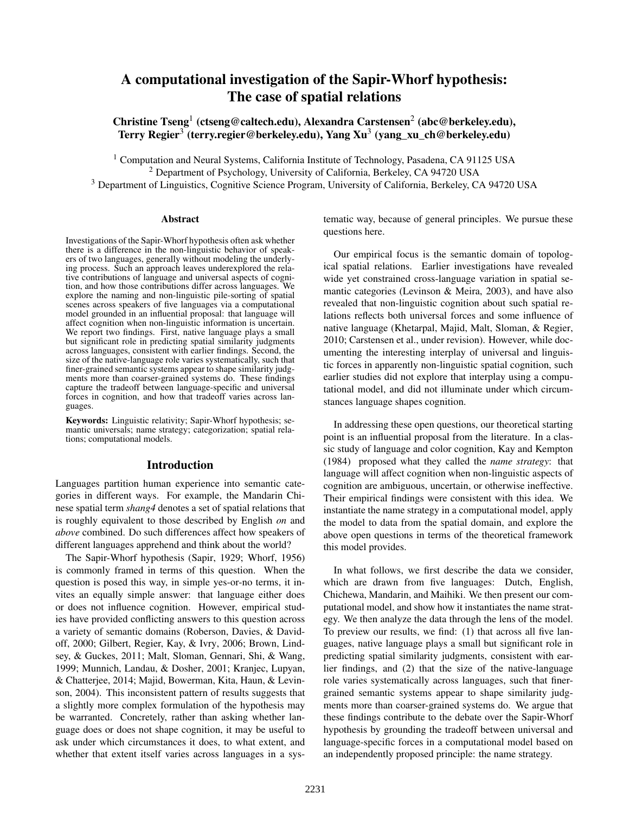# A computational investigation of the Sapir-Whorf hypothesis: The case of spatial relations

Christine Tseng<sup>1</sup> (ctseng@caltech.edu), Alexandra Carstensen<sup>2</sup> (abc@berkeley.edu), Terry Regier $^3$  (terry.regier@berkeley.edu), Yang Xu $^3$  (yang\_xu\_ch@berkeley.edu)

<sup>1</sup> Computation and Neural Systems, California Institute of Technology, Pasadena, CA 91125 USA <sup>2</sup> Department of Psychology, University of California, Berkeley, CA 94720 USA <sup>3</sup> Department of Linguistics, Cognitive Science Program, University of California, Berkeley, CA 94720 USA

#### Abstract

Investigations of the Sapir-Whorf hypothesis often ask whether there is a difference in the non-linguistic behavior of speakers of two languages, generally without modeling the underlying process. Such an approach leaves underexplored the relative contributions of language and universal aspects of cognition, and how those contributions differ across languages. We explore the naming and non-linguistic pile-sorting of spatial scenes across speakers of five languages via a computational model grounded in an influential proposal: that language will affect cognition when non-linguistic information is uncertain. We report two findings. First, native language plays a small but significant role in predicting spatial similarity judgments across languages, consistent with earlier findings. Second, the size of the native-language role varies systematically, such that finer-grained semantic systems appear to shape similarity judgments more than coarser-grained systems do. These findings capture the tradeoff between language-specific and universal forces in cognition, and how that tradeoff varies across languages.

Keywords: Linguistic relativity; Sapir-Whorf hypothesis; semantic universals; name strategy; categorization; spatial relations; computational models.

#### Introduction

Languages partition human experience into semantic categories in different ways. For example, the Mandarin Chinese spatial term *shang4* denotes a set of spatial relations that is roughly equivalent to those described by English *on* and *above* combined. Do such differences affect how speakers of different languages apprehend and think about the world?

The Sapir-Whorf hypothesis (Sapir, 1929; Whorf, 1956) is commonly framed in terms of this question. When the question is posed this way, in simple yes-or-no terms, it invites an equally simple answer: that language either does or does not influence cognition. However, empirical studies have provided conflicting answers to this question across a variety of semantic domains (Roberson, Davies, & Davidoff, 2000; Gilbert, Regier, Kay, & Ivry, 2006; Brown, Lindsey, & Guckes, 2011; Malt, Sloman, Gennari, Shi, & Wang, 1999; Munnich, Landau, & Dosher, 2001; Kranjec, Lupyan, & Chatterjee, 2014; Majid, Bowerman, Kita, Haun, & Levinson, 2004). This inconsistent pattern of results suggests that a slightly more complex formulation of the hypothesis may be warranted. Concretely, rather than asking whether language does or does not shape cognition, it may be useful to ask under which circumstances it does, to what extent, and whether that extent itself varies across languages in a systematic way, because of general principles. We pursue these questions here.

Our empirical focus is the semantic domain of topological spatial relations. Earlier investigations have revealed wide yet constrained cross-language variation in spatial semantic categories (Levinson & Meira, 2003), and have also revealed that non-linguistic cognition about such spatial relations reflects both universal forces and some influence of native language (Khetarpal, Majid, Malt, Sloman, & Regier, 2010; Carstensen et al., under revision). However, while documenting the interesting interplay of universal and linguistic forces in apparently non-linguistic spatial cognition, such earlier studies did not explore that interplay using a computational model, and did not illuminate under which circumstances language shapes cognition.

In addressing these open questions, our theoretical starting point is an influential proposal from the literature. In a classic study of language and color cognition, Kay and Kempton (1984) proposed what they called the *name strategy*: that language will affect cognition when non-linguistic aspects of cognition are ambiguous, uncertain, or otherwise ineffective. Their empirical findings were consistent with this idea. We instantiate the name strategy in a computational model, apply the model to data from the spatial domain, and explore the above open questions in terms of the theoretical framework this model provides.

In what follows, we first describe the data we consider, which are drawn from five languages: Dutch, English, Chichewa, Mandarin, and Maihiki. We then present our computational model, and show how it instantiates the name strategy. We then analyze the data through the lens of the model. To preview our results, we find: (1) that across all five languages, native language plays a small but significant role in predicting spatial similarity judgments, consistent with earlier findings, and (2) that the size of the native-language role varies systematically across languages, such that finergrained semantic systems appear to shape similarity judgments more than coarser-grained systems do. We argue that these findings contribute to the debate over the Sapir-Whorf hypothesis by grounding the tradeoff between universal and language-specific forces in a computational model based on an independently proposed principle: the name strategy.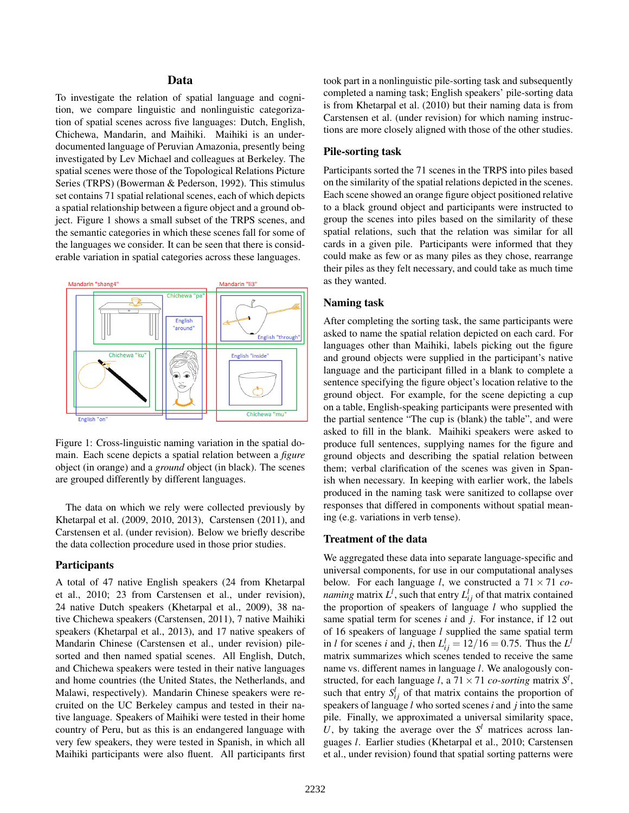# Data

To investigate the relation of spatial language and cognition, we compare linguistic and nonlinguistic categorization of spatial scenes across five languages: Dutch, English, Chichewa, Mandarin, and Maihiki. Maihiki is an underdocumented language of Peruvian Amazonia, presently being investigated by Lev Michael and colleagues at Berkeley. The spatial scenes were those of the Topological Relations Picture Series (TRPS) (Bowerman & Pederson, 1992). This stimulus set contains 71 spatial relational scenes, each of which depicts a spatial relationship between a figure object and a ground object. Figure 1 shows a small subset of the TRPS scenes, and the semantic categories in which these scenes fall for some of the languages we consider. It can be seen that there is considerable variation in spatial categories across these languages.



Figure 1: Cross-linguistic naming variation in the spatial domain. Each scene depicts a spatial relation between a *figure* object (in orange) and a *ground* object (in black). The scenes are grouped differently by different languages.

The data on which we rely were collected previously by Khetarpal et al. (2009, 2010, 2013), Carstensen (2011), and Carstensen et al. (under revision). Below we briefly describe the data collection procedure used in those prior studies.

#### **Participants**

A total of 47 native English speakers (24 from Khetarpal et al., 2010; 23 from Carstensen et al., under revision), 24 native Dutch speakers (Khetarpal et al., 2009), 38 native Chichewa speakers (Carstensen, 2011), 7 native Maihiki speakers (Khetarpal et al., 2013), and 17 native speakers of Mandarin Chinese (Carstensen et al., under revision) pilesorted and then named spatial scenes. All English, Dutch, and Chichewa speakers were tested in their native languages and home countries (the United States, the Netherlands, and Malawi, respectively). Mandarin Chinese speakers were recruited on the UC Berkeley campus and tested in their native language. Speakers of Maihiki were tested in their home country of Peru, but as this is an endangered language with very few speakers, they were tested in Spanish, in which all Maihiki participants were also fluent. All participants first took part in a nonlinguistic pile-sorting task and subsequently completed a naming task; English speakers' pile-sorting data is from Khetarpal et al. (2010) but their naming data is from Carstensen et al. (under revision) for which naming instructions are more closely aligned with those of the other studies.

## Pile-sorting task

Participants sorted the 71 scenes in the TRPS into piles based on the similarity of the spatial relations depicted in the scenes. Each scene showed an orange figure object positioned relative to a black ground object and participants were instructed to group the scenes into piles based on the similarity of these spatial relations, such that the relation was similar for all cards in a given pile. Participants were informed that they could make as few or as many piles as they chose, rearrange their piles as they felt necessary, and could take as much time as they wanted.

#### Naming task

After completing the sorting task, the same participants were asked to name the spatial relation depicted on each card. For languages other than Maihiki, labels picking out the figure and ground objects were supplied in the participant's native language and the participant filled in a blank to complete a sentence specifying the figure object's location relative to the ground object. For example, for the scene depicting a cup on a table, English-speaking participants were presented with the partial sentence "The cup is (blank) the table", and were asked to fill in the blank. Maihiki speakers were asked to produce full sentences, supplying names for the figure and ground objects and describing the spatial relation between them; verbal clarification of the scenes was given in Spanish when necessary. In keeping with earlier work, the labels produced in the naming task were sanitized to collapse over responses that differed in components without spatial meaning (e.g. variations in verb tense).

#### Treatment of the data

We aggregated these data into separate language-specific and universal components, for use in our computational analyses below. For each language *l*, we constructed a 71 × 71 *conaming* matrix  $L^l$ , such that entry  $L^l_{ij}$  of that matrix contained the proportion of speakers of language *l* who supplied the same spatial term for scenes *i* and *j*. For instance, if 12 out of 16 speakers of language *l* supplied the same spatial term in *l* for scenes *i* and *j*, then  $L^{l}_{ij} = 12/16 = 0.75$ . Thus the  $L^{l}$ matrix summarizes which scenes tended to receive the same name vs. different names in language *l*. We analogously constructed, for each language *l*, a  $71 \times 71$  *co-sorting* matrix  $S^l$ , such that entry  $S_{ij}^l$  of that matrix contains the proportion of speakers of language *l* who sorted scenes *i* and *j* into the same pile. Finally, we approximated a universal similarity space, U, by taking the average over the  $S<sup>l</sup>$  matrices across languages *l*. Earlier studies (Khetarpal et al., 2010; Carstensen et al., under revision) found that spatial sorting patterns were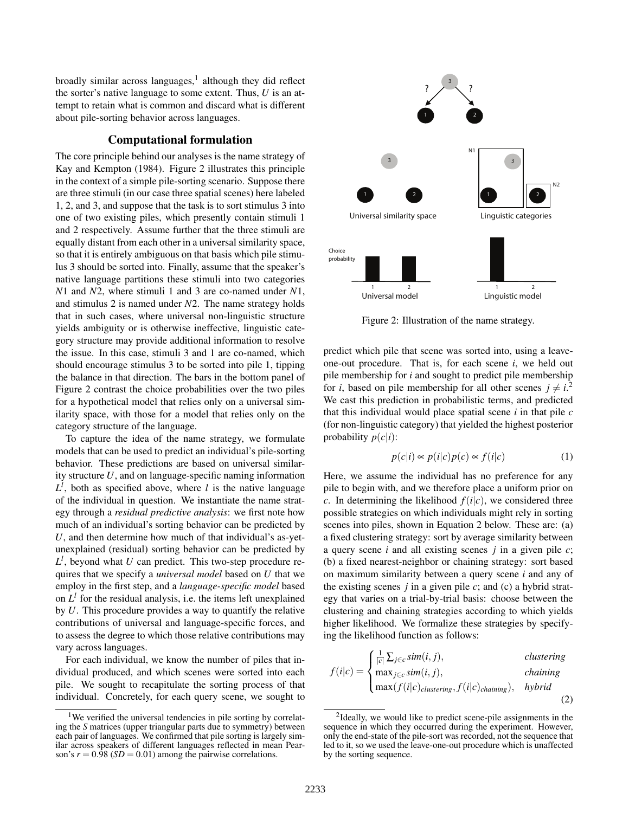broadly similar across languages,<sup>1</sup> although they did reflect the sorter's native language to some extent. Thus, *U* is an attempt to retain what is common and discard what is different about pile-sorting behavior across languages.

### Computational formulation

The core principle behind our analyses is the name strategy of Kay and Kempton (1984). Figure 2 illustrates this principle in the context of a simple pile-sorting scenario. Suppose there are three stimuli (in our case three spatial scenes) here labeled 1, 2, and 3, and suppose that the task is to sort stimulus 3 into one of two existing piles, which presently contain stimuli 1 and 2 respectively. Assume further that the three stimuli are equally distant from each other in a universal similarity space, so that it is entirely ambiguous on that basis which pile stimulus 3 should be sorted into. Finally, assume that the speaker's native language partitions these stimuli into two categories *N*1 and *N*2, where stimuli 1 and 3 are co-named under *N*1, and stimulus 2 is named under *N*2. The name strategy holds that in such cases, where universal non-linguistic structure yields ambiguity or is otherwise ineffective, linguistic category structure may provide additional information to resolve the issue. In this case, stimuli 3 and 1 are co-named, which should encourage stimulus 3 to be sorted into pile 1, tipping the balance in that direction. The bars in the bottom panel of Figure 2 contrast the choice probabilities over the two piles for a hypothetical model that relies only on a universal similarity space, with those for a model that relies only on the category structure of the language.

To capture the idea of the name strategy, we formulate models that can be used to predict an individual's pile-sorting behavior. These predictions are based on universal similarity structure *U*, and on language-specific naming information  $L^l$ , both as specified above, where *l* is the native language of the individual in question. We instantiate the name strategy through a *residual predictive analysis*: we first note how much of an individual's sorting behavior can be predicted by *U*, and then determine how much of that individual's as-yetunexplained (residual) sorting behavior can be predicted by  $L^l$ , beyond what *U* can predict. This two-step procedure requires that we specify a *universal model* based on *U* that we employ in the first step, and a *language-specific model* based on  $L^l$  for the residual analysis, i.e. the items left unexplained by *U*. This procedure provides a way to quantify the relative contributions of universal and language-specific forces, and to assess the degree to which those relative contributions may vary across languages.

For each individual, we know the number of piles that individual produced, and which scenes were sorted into each pile. We sought to recapitulate the sorting process of that individual. Concretely, for each query scene, we sought to



Figure 2: Illustration of the name strategy.

predict which pile that scene was sorted into, using a leaveone-out procedure. That is, for each scene *i*, we held out pile membership for *i* and sought to predict pile membership for *i*, based on pile membership for all other scenes  $j \neq i$ <sup>2</sup>. We cast this prediction in probabilistic terms, and predicted that this individual would place spatial scene *i* in that pile *c* (for non-linguistic category) that yielded the highest posterior probability  $p(c|i)$ :

$$
p(c|i) \propto p(i|c)p(c) \propto f(i|c)
$$
 (1)

Here, we assume the individual has no preference for any pile to begin with, and we therefore place a uniform prior on *c*. In determining the likelihood  $f(i|c)$ , we considered three possible strategies on which individuals might rely in sorting scenes into piles, shown in Equation 2 below. These are: (a) a fixed clustering strategy: sort by average similarity between a query scene *i* and all existing scenes *j* in a given pile *c*; (b) a fixed nearest-neighbor or chaining strategy: sort based on maximum similarity between a query scene *i* and any of the existing scenes *j* in a given pile *c*; and (c) a hybrid strategy that varies on a trial-by-trial basis: choose between the clustering and chaining strategies according to which yields higher likelihood. We formalize these strategies by specifying the likelihood function as follows:

$$
f(i|c) = \begin{cases} \frac{1}{|c|} \sum_{j \in c} sim(i, j), & \text{clustering} \\ \max_{j \in c} sim(i, j), & \text{chaining} \\ \max(f(i|c)_{clustering}, f(i|c)_{chaining}), & \text{hybrid} \end{cases}
$$
(2)

<sup>&</sup>lt;sup>1</sup>We verified the universal tendencies in pile sorting by correlating the *S* matrices (upper triangular parts due to symmetry) between each pair of languages. We confirmed that pile sorting is largely similar across speakers of different languages reflected in mean Pearson's  $r = 0.98$  (*SD* = 0.01) among the pairwise correlations.

<sup>&</sup>lt;sup>2</sup>Ideally, we would like to predict scene-pile assignments in the sequence in which they occurred during the experiment. However, only the end-state of the pile-sort was recorded, not the sequence that led to it, so we used the leave-one-out procedure which is unaffected by the sorting sequence.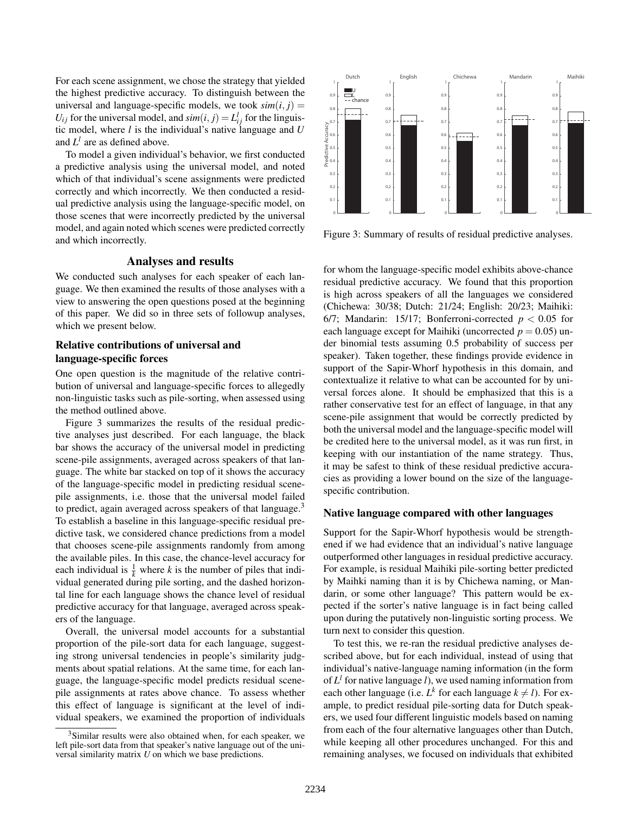For each scene assignment, we chose the strategy that yielded the highest predictive accuracy. To distinguish between the universal and language-specific models, we took  $sim(i, j)$  =  $U_{ij}$  for the universal model, and  $\text{sim}(i, j) = L_{ij}^l$  for the linguistic model, where *l* is the individual's native language and *U* and  $L^l$  are as defined above.

To model a given individual's behavior, we first conducted a predictive analysis using the universal model, and noted which of that individual's scene assignments were predicted correctly and which incorrectly. We then conducted a residual predictive analysis using the language-specific model, on those scenes that were incorrectly predicted by the universal model, and again noted which scenes were predicted correctly and which incorrectly.

#### Analyses and results

We conducted such analyses for each speaker of each language. We then examined the results of those analyses with a view to answering the open questions posed at the beginning of this paper. We did so in three sets of followup analyses, which we present below.

# Relative contributions of universal and language-specific forces

One open question is the magnitude of the relative contribution of universal and language-specific forces to allegedly non-linguistic tasks such as pile-sorting, when assessed using the method outlined above.

Figure 3 summarizes the results of the residual predictive analyses just described. For each language, the black bar shows the accuracy of the universal model in predicting scene-pile assignments, averaged across speakers of that language. The white bar stacked on top of it shows the accuracy of the language-specific model in predicting residual scenepile assignments, i.e. those that the universal model failed to predict, again averaged across speakers of that language.<sup>3</sup> To establish a baseline in this language-specific residual predictive task, we considered chance predictions from a model that chooses scene-pile assignments randomly from among the available piles. In this case, the chance-level accuracy for each individual is  $\frac{1}{k}$  where *k* is the number of piles that individual generated during pile sorting, and the dashed horizontal line for each language shows the chance level of residual predictive accuracy for that language, averaged across speakers of the language.

Overall, the universal model accounts for a substantial proportion of the pile-sort data for each language, suggesting strong universal tendencies in people's similarity judgments about spatial relations. At the same time, for each language, the language-specific model predicts residual scenepile assignments at rates above chance. To assess whether this effect of language is significant at the level of individual speakers, we examined the proportion of individuals



Figure 3: Summary of results of residual predictive analyses.

for whom the language-specific model exhibits above-chance residual predictive accuracy. We found that this proportion is high across speakers of all the languages we considered (Chichewa: 30/38; Dutch: 21/24; English: 20/23; Maihiki: 6/7; Mandarin: 15/17; Bonferroni-corrected  $p < 0.05$  for each language except for Maihiki (uncorrected  $p = 0.05$ ) under binomial tests assuming 0.5 probability of success per speaker). Taken together, these findings provide evidence in support of the Sapir-Whorf hypothesis in this domain, and contextualize it relative to what can be accounted for by universal forces alone. It should be emphasized that this is a rather conservative test for an effect of language, in that any scene-pile assignment that would be correctly predicted by both the universal model and the language-specific model will be credited here to the universal model, as it was run first, in keeping with our instantiation of the name strategy. Thus, it may be safest to think of these residual predictive accuracies as providing a lower bound on the size of the languagespecific contribution.

### Native language compared with other languages

Support for the Sapir-Whorf hypothesis would be strengthened if we had evidence that an individual's native language outperformed other languages in residual predictive accuracy. For example, is residual Maihiki pile-sorting better predicted by Maihki naming than it is by Chichewa naming, or Mandarin, or some other language? This pattern would be expected if the sorter's native language is in fact being called upon during the putatively non-linguistic sorting process. We turn next to consider this question.

To test this, we re-ran the residual predictive analyses described above, but for each individual, instead of using that individual's native-language naming information (in the form of *L l* for native language *l*), we used naming information from each other language (i.e.  $L^k$  for each language  $k \neq l$ ). For example, to predict residual pile-sorting data for Dutch speakers, we used four different linguistic models based on naming from each of the four alternative languages other than Dutch, while keeping all other procedures unchanged. For this and remaining analyses, we focused on individuals that exhibited

<sup>&</sup>lt;sup>3</sup>Similar results were also obtained when, for each speaker, we left pile-sort data from that speaker's native language out of the universal similarity matrix *U* on which we base predictions.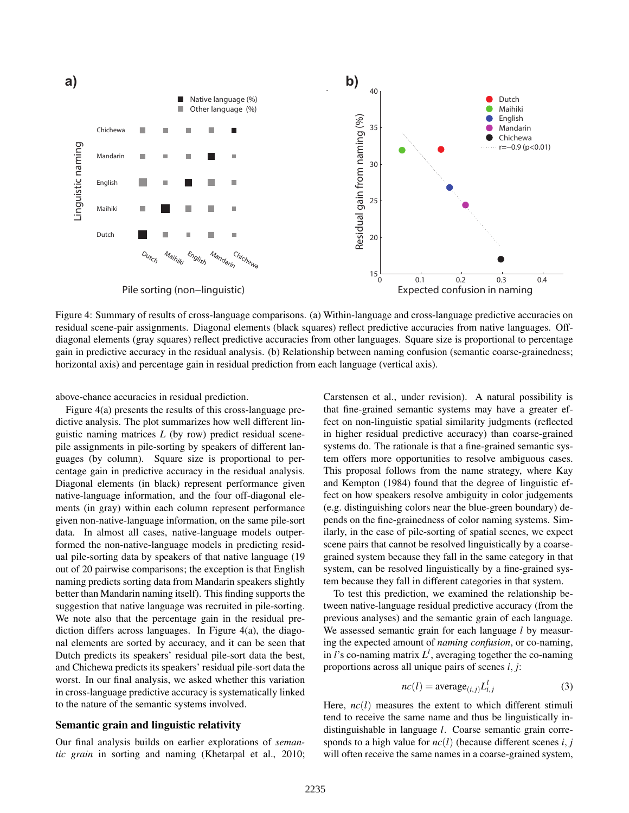

Figure 4: Summary of results of cross-language comparisons. (a) Within-language and cross-language predictive accuracies on residual scene-pair assignments. Diagonal elements (black squares) reflect predictive accuracies from native languages. Offdiagonal elements (gray squares) reflect predictive accuracies from other languages. Square size is proportional to percentage gain in predictive accuracy in the residual analysis. (b) Relationship between naming confusion (semantic coarse-grainedness; horizontal axis) and percentage gain in residual prediction from each language (vertical axis).

above-chance accuracies in residual prediction.

Figure 4(a) presents the results of this cross-language predictive analysis. The plot summarizes how well different linguistic naming matrices *L* (by row) predict residual scenepile assignments in pile-sorting by speakers of different languages (by column). Square size is proportional to percentage gain in predictive accuracy in the residual analysis. Diagonal elements (in black) represent performance given native-language information, and the four off-diagonal elements (in gray) within each column represent performance given non-native-language information, on the same pile-sort data. In almost all cases, native-language models outperformed the non-native-language models in predicting residual pile-sorting data by speakers of that native language (19 out of 20 pairwise comparisons; the exception is that English naming predicts sorting data from Mandarin speakers slightly better than Mandarin naming itself). This finding supports the suggestion that native language was recruited in pile-sorting. We note also that the percentage gain in the residual prediction differs across languages. In Figure 4(a), the diagonal elements are sorted by accuracy, and it can be seen that Dutch predicts its speakers' residual pile-sort data the best, and Chichewa predicts its speakers' residual pile-sort data the worst. In our final analysis, we asked whether this variation in cross-language predictive accuracy is systematically linked to the nature of the semantic systems involved.

#### Semantic grain and linguistic relativity

Our final analysis builds on earlier explorations of *semantic grain* in sorting and naming (Khetarpal et al., 2010; Carstensen et al., under revision). A natural possibility is that fine-grained semantic systems may have a greater effect on non-linguistic spatial similarity judgments (reflected in higher residual predictive accuracy) than coarse-grained systems do. The rationale is that a fine-grained semantic system offers more opportunities to resolve ambiguous cases. This proposal follows from the name strategy, where Kay and Kempton (1984) found that the degree of linguistic effect on how speakers resolve ambiguity in color judgements (e.g. distinguishing colors near the blue-green boundary) depends on the fine-grainedness of color naming systems. Similarly, in the case of pile-sorting of spatial scenes, we expect scene pairs that cannot be resolved linguistically by a coarsegrained system because they fall in the same category in that system, can be resolved linguistically by a fine-grained system because they fall in different categories in that system.

To test this prediction, we examined the relationship between native-language residual predictive accuracy (from the previous analyses) and the semantic grain of each language. We assessed semantic grain for each language *l* by measuring the expected amount of *naming confusion*, or co-naming, in *l*'s co-naming matrix  $L^l$ , averaging together the co-naming proportions across all unique pairs of scenes *i*, *j*:

$$
nc(l) = \text{average}_{(i,j)} L_{i,j}^l \tag{3}
$$

Here,  $nc(l)$  measures the extent to which different stimuli tend to receive the same name and thus be linguistically indistinguishable in language *l*. Coarse semantic grain corresponds to a high value for  $nc(l)$  (because different scenes *i*, *j* will often receive the same names in a coarse-grained system,